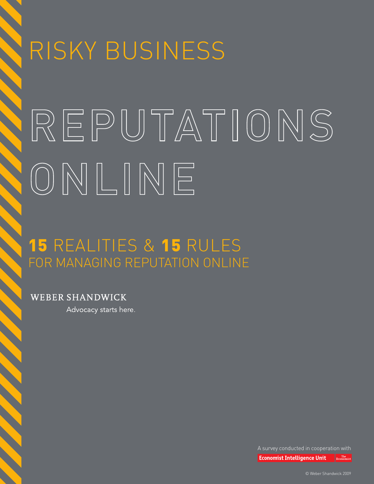# RISKY BUSINESS REPUTATIONS ONLINE

# **15 REALITIES & 15 RULES** FOR MANAGING REPUTATION ONLINE

**WEBER SHANDWICK** 

Advocacy starts here.

A survey conducted in cooperation with

**Economist Intelligence Unit** Economis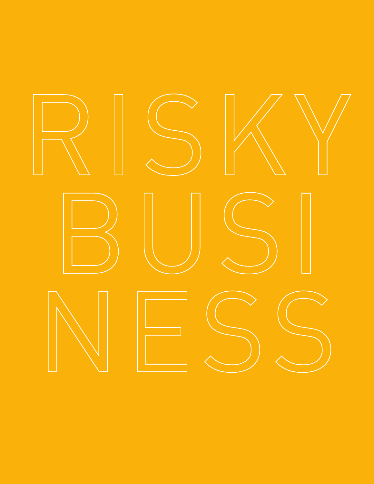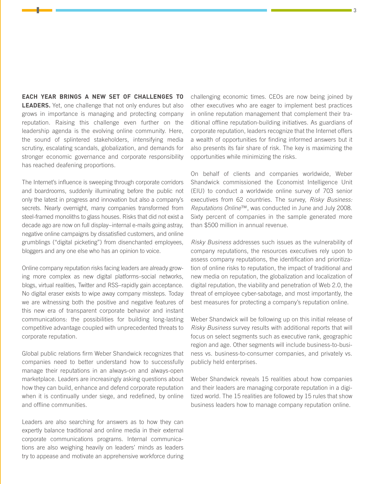**EACH YEAR BRINGS A NEW SET OF CHALLENGES TO LEADERS.** Yet, one challenge that not only endures but also grows in importance is managing and protecting company reputation. Raising this challenge even further on the leadership agenda is the evolving online community. Here, the sound of splintered stakeholders, intensifying media scrutiny, escalating scandals, globalization, and demands for stronger economic governance and corporate responsibility has reached deafening proportions.

The Internet's influence is sweeping through corporate corridors and boardrooms, suddenly illuminating before the public not only the latest in progress and innovation but also a company's secrets. Nearly overnight, many companies transformed from steel-framed monoliths to glass houses. Risks that did not exist a decade ago are now on full display–internal e-mails going astray, negative online campaigns by dissatisfied customers, and online grumblings ("digital picketing") from disenchanted employees, bloggers and any one else who has an opinion to voice.

Online company reputation risks facing leaders are already growing more complex as new digital platforms–social networks, blogs, virtual realities, Twitter and RSS–rapidly gain acceptance. No digital eraser exists to wipe away company missteps. Today we are witnessing both the positive and negative features of this new era of transparent corporate behavior and instant communications: the possibilities for building long-lasting competitive advantage coupled with unprecedented threats to corporate reputation.

Global public relations firm Weber Shandwick recognizes that companies need to better understand how to successfully manage their reputations in an always-on and always-open marketplace. Leaders are increasingly asking questions about how they can build, enhance and defend corporate reputation when it is continually under siege, and redefined, by online and offline communities.

Leaders are also searching for answers as to how they can expertly balance traditional and online media in their external corporate communications programs. Internal communications are also weighing heavily on leaders' minds as leaders try to appease and motivate an apprehensive workforce during

challenging economic times. CEOs are now being joined by other executives who are eager to implement best practices in online reputation management that complement their traditional offline reputation-building initiatives. As guardians of corporate reputation, leaders recognize that the Internet offers a wealth of opportunities for finding informed answers but it also presents its fair share of risk. The key is maximizing the opportunities while minimizing the risks.

On behalf of clients and companies worldwide, Weber Shandwick commissioned the Economist Intelligence Unit (EIU) to conduct a worldwide online survey of 703 senior executives from 62 countries. The survey, *Risky Business: Reputations Online*™, was conducted in June and July 2008. Sixty percent of companies in the sample generated more than \$500 million in annual revenue.

*Risky Business* addresses such issues as the vulnerability of company reputations, the resources executives rely upon to assess company reputations, the identification and prioritization of online risks to reputation, the impact of traditional and new media on reputation, the globalization and localization of digital reputation, the viability and penetration of Web 2.0, the threat of employee cyber-sabotage, and most importantly, the best measures for protecting a company's reputation online.

Weber Shandwick will be following up on this initial release of *Risky Business* survey results with additional reports that will focus on select segments such as executive rank, geographic region and age. Other segments will include business-to-business vs. business-to-consumer companies, and privately vs. publicly held enterprises.

Weber Shandwick reveals 15 realities about how companies and their leaders are managing corporate reputation in a digitized world. The 15 realities are followed by 15 rules that show business leaders how to manage company reputation online.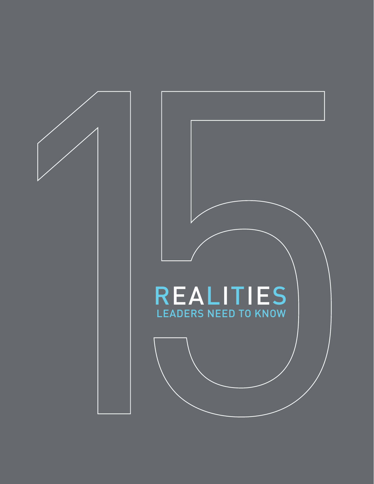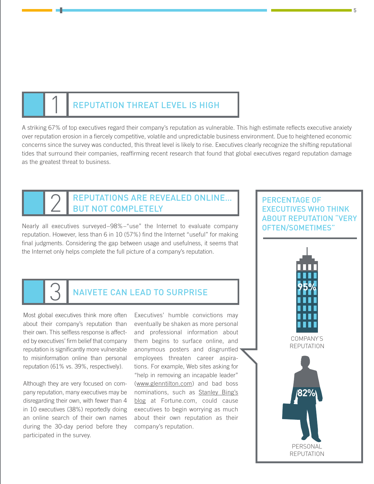## REPUTATION THREAT LEVEL IS HIGH

A striking 67% of top executives regard their company's reputation as vulnerable. This high estimate reflects executive anxiety over reputation erosion in a fiercely competitive, volatile and unpredictable business environment. Due to heightened economic concerns since the survey was conducted, this threat level is likely to rise. Executives clearly recognize the shifting reputational tides that surround their companies, reaffirming recent research that found that global executives regard reputation damage as the greatest threat to business.

## REPUTATIONS ARE REVEALED ONLINE... But Not Completely

Nearly all executives surveyed–98%–"use" the Internet to evaluate company reputation. However, less than 6 in 10 (57%) find the Internet "useful" for making final judgments. Considering the gap between usage and usefulness, it seems that the Internet only helps complete the full picture of a company's reputation.

#### **NAIVETE CAN LEAD TO SURPRISE**

Most global executives think more often about their company's reputation than their own. This selfless response is affected by executives' firm belief that company reputation is significantly more vulnerable to misinformation online than personal reputation (61% vs. 39%, respectively).

Although they are very focused on company reputation, many executives may be disregarding their own, with fewer than 4 in 10 executives (38%) reportedly doing an online search of their own names during the 30-day period before they participated in the survey.

Executives' humble convictions may eventually be shaken as more personal and professional information about them begins to surface online, and anonymous posters and disgruntled employees threaten career aspirations. For example, Web sites asking for "help in removing an incapable leader" ([www.glenntilton.com\)](http://www.glenntilton.com) and bad boss nominations, such as Stanley Bing's [blog at Fortune.com, could cause](http://money.cnn.com/magazines/fortune/stanleybing/crazybosses/index.html)  executives to begin worrying as much about their own reputation as their company's reputation.

#### PERCENTAGE OF EXECUTIVES WHO THINK ABOUT REPUTATION "VERY OFTEN/SOMETIMES"

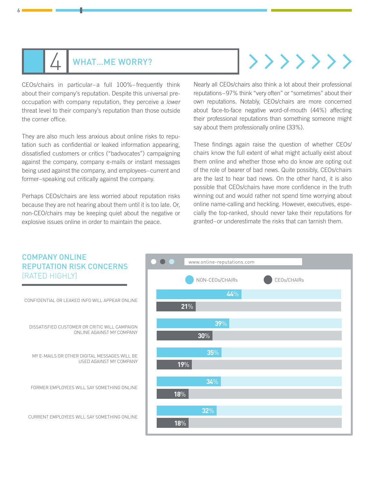# WHAT…ME WORRY?

CEOs/chairs in particular–a full 100%–frequently think about their company's reputation. Despite this universal preoccupation with company reputation, they perceive a *lower* threat level to their company's reputation than those outside the corner office.

6

They are also much less anxious about online risks to reputation such as confidential or leaked information appearing, dissatisfied customers or critics ("badvocates") campaigning against the company, company e-mails or instant messages being used against the company, and employees–current and former–speaking out critically against the company.

Perhaps CEOs/chairs are less worried about reputation risks because they are not hearing about them until it is too late. Or, non-CEO/chairs may be keeping quiet about the negative or explosive issues online in order to maintain the peace.

# $\{\rangle\}\rangle\rangle\rangle$

Nearly all CEOs/chairs also think a lot about their professional reputations–97% think "very often" or "sometimes" about their own reputations. Notably, CEOs/chairs are more concerned about face-to-face negative word-of-mouth (44%) affecting their professional reputations than something someone might say about them professionally online (33%).

These findings again raise the question of whether CEOs/ chairs know the full extent of what might actually exist about them online and whether those who do know are opting out of the role of bearer of bad news. Quite possibly, CEOs/chairs are the last to hear bad news. On the other hand, it is also possible that CEOs/chairs have more confidence in the truth winning out and would rather not spend time worrying about online name-calling and heckling. However, executives, especially the top-ranked, should never take their reputations for granted–or underestimate the risks that can tarnish them.

#### COMPANY ONLINE  $\bullet$  [www.online-reputations.com](http://www.online-reputations.com) REPUTATION RISK CONCERNS (RATED HIGHLY) NON-CEOs/CHAIRs CEOs/CHAIRs **44**% CONFIDENTIAL OR LEAKED INFO WILL APPEAR ONLINE **21**% **39**% DISSATISFIED CUSTOMER OR CRITIC WILL CAMPAIGN ONLINE AGAINST MY COMPANY **30**% **35**% MY E-MAILS OR OTHER DIGITAL MESSAGES WILL BE USED AGAINST MY COMPANY **19**% **34**% FORMER EMPLOYEES WILL SAY SOMETHING ONLINE **18**% **32**% CURRENT EMPLOYEES WILL SAY SOMETHING ONLINE **18**%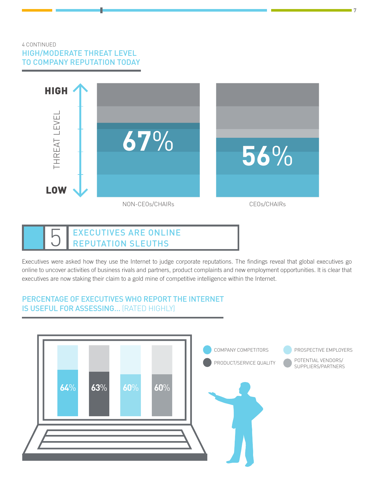#### 4 CONTINUED HIGH/MODERATE THREAT LEVEL TO COMPANY REPUTATION TODAY



 $\blacksquare$ 



Executives were asked how they use the Internet to judge corporate reputations. The findings reveal that global executives go online to uncover activities of business rivals and partners, product complaints and new employment opportunities. It is clear that executives are now staking their claim to a gold mine of competitive intelligence within the Internet.

#### PERCENTAGE OF EXECUTIVES WHO REPORT THE INTERNET IS USEFUL FOR ASSESSING… (RATED HIGHLY)

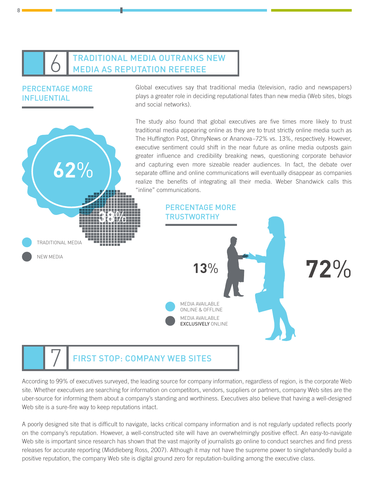## **TRADITIONAL MEDIA OUTRANKS NEW** Media as Reputation Referee

#### PERCENTAGE MORE INFLUENTIAL

 $\mathsf{R}$ 

**62**%

Global executives say that traditional media (television, radio and newspapers) plays a greater role in deciding reputational fates than new media (Web sites, blogs and social networks).

The study also found that global executives are five times more likely to trust traditional media appearing online as they are to trust strictly online media such as The Huffington Post, OhmyNews or Ananova–72% vs. 13%, respectively. However, executive sentiment could shift in the near future as online media outposts gain greater influence and credibility breaking news, questioning corporate behavior and capturing even more sizeable reader audiences. In fact, the debate over separate offline and online communications will eventually disappear as companies realize the benefits of integrating all their media. Weber Shandwick calls this "inline" communications.



According to 99% of executives surveyed, the leading source for company information, regardless of region, is the corporate Web site. Whether executives are searching for information on competitors, vendors, suppliers or partners, company Web sites are the uber-source for informing them about a company's standing and worthiness. Executives also believe that having a well-designed Web site is a sure-fire way to keep reputations intact.

A poorly designed site that is difficult to navigate, lacks critical company information and is not regularly updated reflects poorly on the company's reputation. However, a well-constructed site will have an overwhelmingly positive effect. An easy-to-navigate Web site is important since research has shown that the vast majority of journalists go online to conduct searches and find press releases for accurate reporting (Middleberg Ross, 2007). Although it may not have the supreme power to singlehandedly build a positive reputation, the company Web site is digital ground zero for reputation-building among the executive class.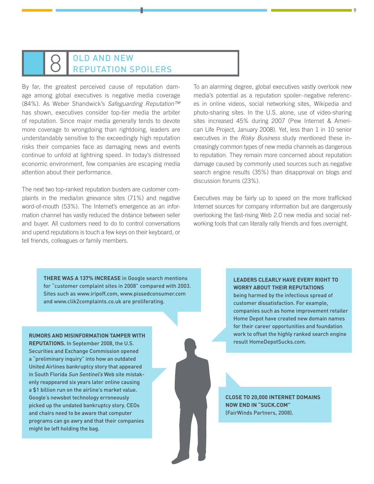# 8 OLD AND NEW

By far, the greatest perceived cause of reputation damage among global executives is negative media coverage (84%). As Weber Shandwick's *Safeguarding Reputation™* has shown, executives consider top-tier media the arbiter of reputation. Since major media generally tends to devote more coverage to wrongdoing than rightdoing, leaders are understandably sensitive to the exceedingly high reputation risks their companies face as damaging news and events continue to unfold at lightning speed. In today's distressed economic environment, few companies are escaping media attention about their performance.

The next two top-ranked reputation busters are customer complaints in the media/on grievance sites (71%) and negative word-of-mouth (53%). The Internet's emergence as an information channel has vastly reduced the distance between seller and buyer. All customers need to do to control conversations and upend reputations is touch a few keys on their keyboard, or tell friends, colleagues or family members.

To an alarming degree, global executives vastly overlook new media's potential as a reputation spoiler–negative references in online videos, social networking sites, Wikipedia and photo-sharing sites. In the U.S. alone, use of video-sharing sites increased 45% during 2007 (Pew Internet & American Life Project, January 2008). Yet, less than 1 in 10 senior executives in the *Risky Business* study mentioned these increasingly common types of new media channels as dangerous to reputation. They remain more concerned about reputation damage caused by commonly used sources such as negative search engine results (35%) than disapproval on blogs and discussion forums (23%).

Executives may be fairly up to speed on the more trafficked Internet sources for company information but are dangerously overlooking the fast-rising Web 2.0 new media and social networking tools that can literally rally friends and foes overnight.

**THERE WAS A 137% INCREASE** in Google search mentions for "customer complaint sites in 2008" compared with 2003. Sites such as [www.iripoff.com,](http://www.iripoff.com) [www.pissedconsumer.com](http://www.pissedconsumer.com)  and [www.clik2complaints.co.uk ar](http://www.clik2complaints.co.uk)e proliferating.

**RUMORS AND MISINFORMATION TAMPER WITH REPUTATIONS.** In September 2008, the U.S. Securities and Exchange Commission opened a "preliminary inquiry" into how an outdated United Airlines bankruptcy story that appeared in South Florida Sun Sentinel's Web site mistakenly reappeared six years later online causing a \$1 billion run on the airline's market value. Google's newsbot technology erroneously picked up the undated bankruptcy story. CEOs and chairs need to be aware that computer programs can go awry and that their companies might be left holding the bag.

#### **LEADERS CLEARLY HAVE EVERY RIGHT TO WORRY ABOUT THEIR REPUTATIONS**

being harmed by the infectious spread of customer dissatisfaction. For example, companies such as home improvement retailer Home Depot have created new domain names for their career opportunities and foundation work to offset the highly ranked search engine result HomeDepotSucks.com.

**CLOSE TO 20,000 INTERNET DOMAINS NOW END IN "SUCK.COM"** (FairWinds Partners, 2008).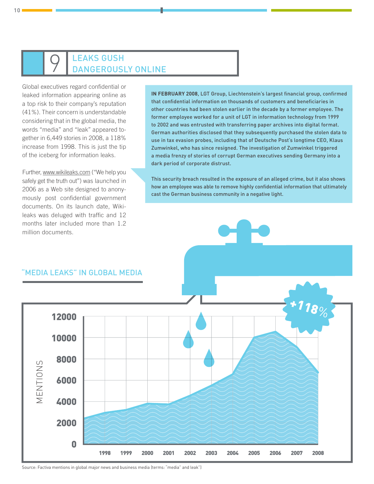# $\bigcirc$  LEAKS GUSH

Global executives regard confidential or leaked information appearing online as a top risk to their company's reputation (41%). Their concern is understandable considering that in the global media, the words "media" and "leak" appeared together in 6,449 stories in 2008, a 118% increase from 1998. This is just the tip of the iceberg for information leaks.

Further, [www.wikileaks.com \("W](http://www.wikileaks.com)e help you safely get the truth out") was launched in 2006 as a Web site designed to anonymously post confidential government documents. On its launch date, Wikileaks was deluged with traffic and 12 months later included more than 1.2 million documents.

**IN FEBRUARY 2008**, LGT Group, Liechtenstein's largest financial group, confirmed that confidential information on thousands of customers and beneficiaries in other countries had been stolen earlier in the decade by a former employee. The former employee worked for a unit of LGT in information technology from 1999 to 2002 and was entrusted with transferring paper archives into digital format. German authorities disclosed that they subsequently purchased the stolen data to use in tax evasion probes, including that of Deutsche Post's longtime CEO, Klaus Zumwinkel, who has since resigned. The investigation of Zumwinkel triggered a media frenzy of stories of corrupt German executives sending Germany into a dark period of corporate distrust.

This security breach resulted in the exposure of an alleged crime, but it also shows how an employee was able to remove highly confidential information that ultimately cast the German business community in a negative light.

#### "MEDIA LEAKS" IN GLOBAL MEDIA



Source: Factiva mentions in global major news and business media (terms: "media" and leak")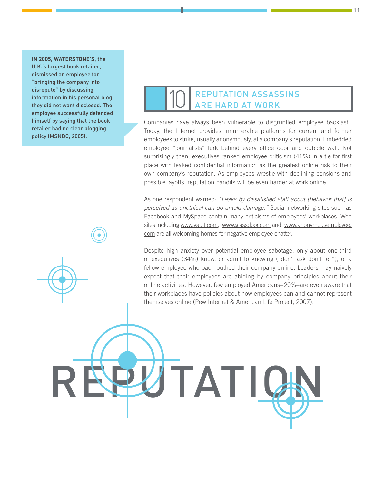#### **IN 2005, WATERSTONE'S, the**

U.K.'s largest book retailer, dismissed an employee for "bringing the company into disrepute" by discussing information in his personal blog they did not want disclosed. The employee successfully defended himself by saying that the book retailer had no clear blogging policy (MSNBC, 2005).

# **REPUTATION ASSASSINS** Are Hard at Work

Companies have always been vulnerable to disgruntled employee backlash. Today, the Internet provides innumerable platforms for current and former employees to strike, usually anonymously, at a company's reputation. Embedded employee "journalists" lurk behind every office door and cubicle wall. Not surprisingly then, executives ranked employee criticism (41%) in a tie for first place with leaked confidential information as the greatest online risk to their own company's reputation. As employees wrestle with declining pensions and possible layoffs, reputation bandits will be even harder at work online.

As one respondent warned: *"Leaks by dissatisfied staff about [behavior that] is perceived as unethical can do untold damage."* Social networking sites such as Facebook and MySpace contain many criticisms of employees' workplaces. Web sites including [www.vault.com,](http://www.vault.com) [www.glassdoor.com an](http://www.glassdoor.com)d [www.anonymousemployee.](http://www.anonymousemployee.com) com are all welcoming homes for negative employee chatter.

Despite high anxiety over potential employee sabotage, only about one-third of executives (34%) know, or admit to knowing ("don't ask don't tell"), of a fellow employee who badmouthed their company online. Leaders may naively expect that their employees are abiding by company principles about their online activities. However, few employed Americans–20%–are even aware that their workplaces have policies about how employees can and cannot represent themselves online (Pew Internet & American Life Project, 2007).

TAT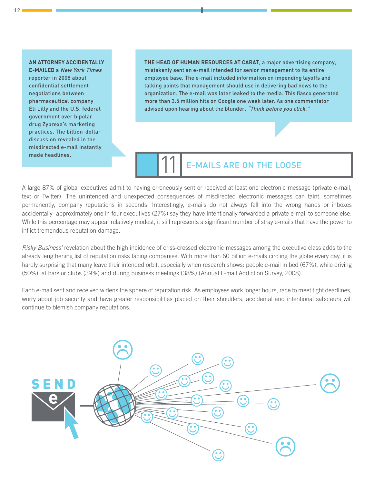#### **An attorney accidentally**

**e-mailed** a New York Times reporter in 2008 about confidential settlement negotiations between pharmaceutical company Eli Lilly and the U.S. federal government over bipolar drug Zyprexa's marketing practices. The billion-dollar discussion revealed in the misdirected e-mail instantly made headlines.

**THE HEAD OF HUMAN RESOURCES AT CARAT**, a major advertising company, mistakenly sent an e-mail intended for senior management to its entire employee base. The e-mail included information on impending layoffs and talking points that management should use in delivering bad news to the organization. The e-mail was later leaked to the media. This fiasco generated more than 3.5 million hits on Google one week later. As one commentator advised upon hearing about the blunder, "Think before you click."

# **E-MAILS ARE ON THE LOOSE**

A large 87% of global executives admit to having erroneously sent or received at least one electronic message (private e-mail, text or Twitter). The unintended and unexpected consequences of misdirected electronic messages can taint, sometimes permanently, company reputations in seconds. Interestingly, e-mails do not always fall into the wrong hands or inboxes accidentally–approximately one in four executives (27%) say they have intentionally forwarded a private e-mail to someone else. While this percentage may appear relatively modest, it still represents a significant number of stray e-mails that have the power to inflict tremendous reputation damage.

*Risky Business'* revelation about the high incidence of criss-crossed electronic messages among the executive class adds to the already lengthening list of reputation risks facing companies. With more than 60 billion e-mails circling the globe every day, it is hardly surprising that many leave their intended orbit, especially when research shows: people e-mail in bed (67%), while driving (50%), at bars or clubs (39%) and during business meetings (38%) (Annual E-mail Addiction Survey, 2008).

Each e-mail sent and received widens the sphere of reputation risk. As employees work longer hours, race to meet tight deadlines, worry about job security and have greater responsibilities placed on their shoulders, accidental and intentional saboteurs will continue to blemish company reputations.

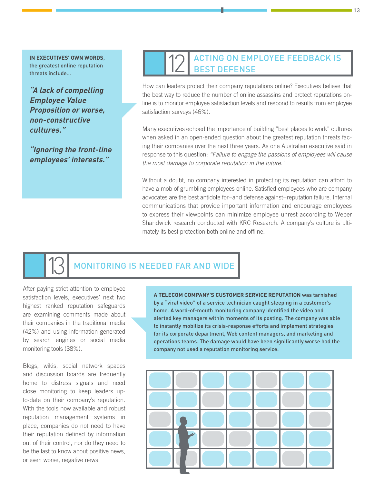**In executives' own words**, the greatest online reputation threats include…

**"A lack of compelling Employee Value Proposition or worse, non-constructive cultures."**

**"Ignoring the front-line employees' interests."**

### **ACTING ON EMPLOYEE FEEDBACK IS** Best Defense

How can leaders protect their company reputations online? Executives believe that the best way to reduce the number of online assassins and protect reputations online is to monitor employee satisfaction levels and respond to results from employee satisfaction surveys (46%).

Many executives echoed the importance of building "best places to work" cultures when asked in an open-ended question about the greatest reputation threats facing their companies over the next three years. As one Australian executive said in response to this question: *"Failure to engage the passions of employees will cause the most damage to corporate reputation in the future."* 

Without a doubt, no company interested in protecting its reputation can afford to have a mob of grumbling employees online. Satisfied employees who are company advocates are the best antidote for–and defense against–reputation failure. Internal communications that provide important information and encourage employees to express their viewpoints can minimize employee unrest according to Weber Shandwick research conducted with KRC Research. A company's culture is ultimately its best protection both online and offline.

## MONITORING IS NEEDED FAR AND WIDE

After paying strict attention to employee satisfaction levels, executives' next two highest ranked reputation safeguards are examining comments made about their companies in the traditional media (42%) and using information generated by search engines or social media monitoring tools (38%).

Blogs, wikis, social network spaces and discussion boards are frequently home to distress signals and need close monitoring to keep leaders upto-date on their company's reputation. With the tools now available and robust reputation management systems in place, companies do not need to have their reputation defined by information out of their control, nor do they need to be the last to know about positive news, or even worse, negative news.

**A telecom company's customer service reputation** was tarnished by a "viral video" of a service technician caught sleeping in a customer's home. A word-of-mouth monitoring company identified the video and alerted key managers within moments of its posting. The company was able to instantly mobilize its crisis-response efforts and implement strategies for its corporate department, Web content managers, and marketing and operations teams. The damage would have been significantly worse had the company not used a reputation monitoring service.

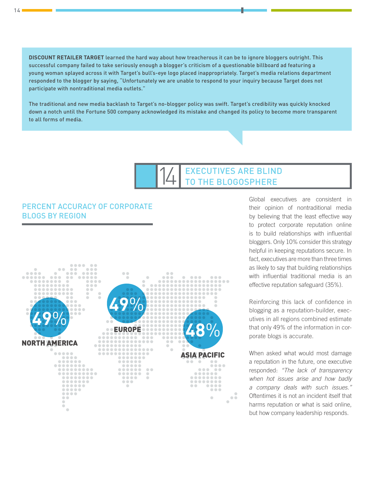**Discount retailer Target** learned the hard way about how treacherous it can be to ignore bloggers outright. This successful company failed to take seriously enough a blogger's criticism of a questionable billboard ad featuring a young woman splayed across it with Target's bull's-eye logo placed inappropriately. Target's media relations department responded to the blogger by saying, "Unfortunately we are unable to respond to your inquiry because Target does not participate with nontraditional media outlets."

The traditional and new media backlash to Target's no-blogger policy was swift. Target's credibility was quickly knocked down a notch until the Fortune 500 company acknowledged its mistake and changed its policy to become more transparent to all forms of media.

# 14 EXECUTIVES ARE BL

#### PERCENT ACCURACY OF CORPORATE BLOGS BY REGION



Global executives are consistent in their opinion of nontraditional media by believing that the least effective way to protect corporate reputation online is to build relationships with influential bloggers. Only 10% consider this strategy helpful in keeping reputations secure. In fact, executives are more than three times as likely to say that building relationships with influential traditional media is an effective reputation safeguard (35%).

Reinforcing this lack of confidence in blogging as a reputation-builder, executives in all regions combined estimate that only 49% of the information in corporate blogs is accurate.

When asked what would most damage a reputation in the future, one executive responded: *"The lack of transparency when hot issues arise and how badly a company deals with such issues."* Oftentimes it is not an incident itself that harms reputation or what is said online, but how company leadership responds.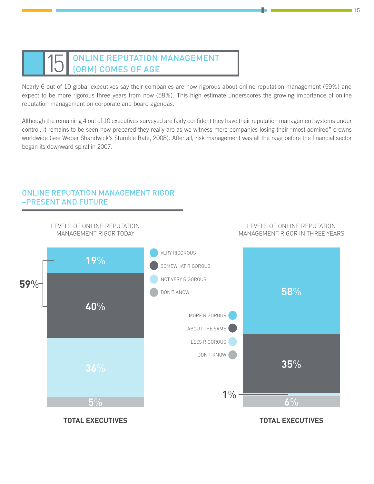## ONLINE REPUTATION MANAGEMENT (ORM) Comes of Age

Nearly 6 out of 10 global executives say their companies are now rigorous about online reputation management (59%) and expect to be more rigorous three years from now (58%). This high estimate underscores the growing importance of online reputation management on corporate and board agendas.

Although the remaining 4 out of 10 executives surveyed are fairly confident they have their reputation management systems under control, it remains to be seen how prepared they really are as we witness more companies losing their "most admired" crowns worldwide (see [Weber Shandwick's Stumble Rate,](http://www.webershandwick.com/Default.aspx/AboutUs/PressReleases/2008/NewBookIdentifiesCompellingReputationRecoveryStrategies) 2008). After all, risk management was all the rage before the financial sector began its downward spiral in 2007.



#### ONLINE REPUTATION MANAGEMENT RIGOR –PRESENT AND FUTURE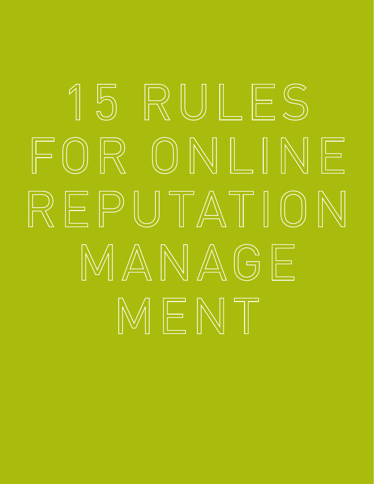# 15 RULES FOR ONLINE REPUTATION MANAGE MENT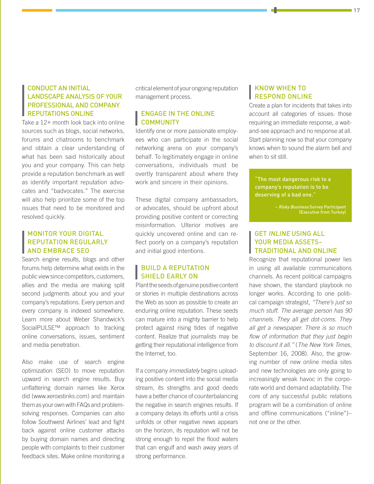#### Conduct an initial landscape analysis of your professional and company reputations online

Take a 12+ month look back into online sources such as blogs, social networks, forums and chatrooms to benchmark and obtain a clear understanding of what has been said historically about you and your company. This can help provide a reputation benchmark as well as identify important reputation advocates and "badvocates." The exercise will also help prioritize some of the top issues that need to be monitored and resolved quickly.

#### Monitor your digital reputation regularly AND EMBRACE SEO

Search engine results, blogs and other forums help determine what exists in the public view since competitors, customers, allies and the media are making split second judgments about you and your company's reputations. Every person and every company is indexed somewhere. Learn more about Weber Shandwick's SocialPULSE™ approach to tracking online conversations, issues, sentiment and media penetration.

Also make use of search engine optimization (SEO) to move reputation upward in search engine results. Buy unflattering domain names like Xerox did [\(www.xeroxstinks.com\)](http://www.xeroxstinks.com) and maintain them as your own with FAQs and problemsolving responses. Companies can also follow Southwest Airlines' lead and fight back against online customer attacks by buying domain names and directing people with complaints to their customer feedback sites. Make online monitoring a

critical element of your ongoing reputation management process.

#### **ENGAGE IN THE ONLINE COMMUNITY**

Identify one or more passionate employees who can participate in the social networking arena on your company's behalf. To legitimately engage in online conversations, individuals must be overtly transparent about where they work and sincere in their opinions.

These digital company ambassadors, or advocates, should be upfront about providing positive content or correcting misinformation. Ulterior motives are quickly uncovered online and can reflect poorly on a company's reputation and initial good intentions.

#### **BUILD A REPUTATION SHIELD EARLY ON**

Plant the seeds of genuine positive content or stories in multiple destinations across the Web as soon as possible to create an enduring online reputation. These seeds can mature into a mighty barrier to help protect against rising tides of negative content. Realize that journalists may be getting their reputational intelligence from the Internet, too.

If a company *immediately* begins uploading positive content into the social media stream, its strengths and good deeds have a better chance of counterbalancing the negative in search engines results. If a company delays its efforts until a crisis unfolds or other negative news appears on the horizon, its reputation will not be strong enough to repel the flood waters that can engulf and wash away years of strong performance.

#### Know when to respond online

Create a plan for incidents that takes into account all categories of issues: those requiring an immediate response, a waitand-see approach and no response at all. Start planning now so that your company knows when to sound the alarm bell and when to sit still.

"The most dangerous risk to a company's reputation is to be deserving of a bad one."

> – Risky Business Survey Participant (Executive from Turkey)

#### GET INLINE USING all your media assets– traditional and online

Recognize that reputational power lies in using all available communications channels. As recent political campaigns have shown, the standard playbook no longer works. According to one political campaign strategist, *"There's just so much stuff. The average person has 90 channels. They all get dot-coms. They all get a newspaper. There is so much flow of information that they just begin to discount it all."* (*The New York Times*, September 16, 2008). Also, the growing number of new online media sites and new technologies are only going to increasingly wreak havoc in the corporate world and demand adaptability. The core of any successful public relations program will be a combination of online and offline communications ("inline")– not one or the other.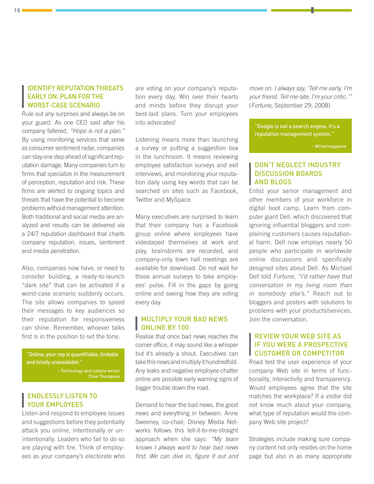#### Identify Reputation Threats Early On. Plan for the Worst-Case Scenario

Rule out any surprises and always be on your guard. As one CEO said after his company faltered, *"Hope is not a plan."* By using monitoring services that serve as consumer sentiment radar, companies can stay one step ahead of significant reputation damage. Many companies turn to firms that specialize in the measurement of perception, reputation and risk. These firms are alerted to ongoing topics and threats that have the potential to become problems without management attention. Both traditional and social media are analyzed and results can be delivered via a 24/7 reputation dashboard that charts company reputation, issues, sentiment and media penetration.

Also, companies now have, or need to consider building, a ready-to-launch "dark site" that can be activated if a worst-case scenario suddenly occurs. The site allows companies to speed their messages to key audiences so their reputation for responsiveness can shine. Remember, whoever talks first is in the position to set the tone.

"Online, your rep is quantifiable, findable and totally unavoidable."

> – Technology and culture writer Clive Thompson

#### Endlessly listen to your employees

Listen and respond to employee issues and suggestions before they potentially attack you online, intentionally or unintentionally. Leaders who fail to do so are playing with fire. Think of employees as your company's electorate who

are voting on your company's reputation every day. Win over their hearts and minds before they disrupt your best-laid plans. Turn your employees into advocates!

Listening means more than launching a survey or putting a suggestion box in the lunchroom. It means reviewing employee satisfaction surveys and exit interviews, and monitoring your reputation daily using key words that can be searched on sites such as Facebook, Twitter and MySpace.

Many executives are surprised to learn that their company has a Facebook group online where employees have videotaped themselves at work and play, brainstorms are recorded, and company-only town hall meetings are available for download. Do not wait for those annual surveys to take employees' pulse. Fill in the gaps by going online and seeing how they are voting every day.

#### Multiply your bad news ONLINE BY 100

Realize that once bad news reaches the corner office, it may sound like a whisper but it's already a shout. Executives can take this news and multiply it hundredfold. Any leaks and negative employee chatter online are possible early warning signs of bigger trouble down the road.

Demand to hear the bad news, the good news and everything in between. Anne Sweeney, co-chair, Disney Media Networks follows this tell-it-to-me-straight approach when she says: *"My team knows I always want to hear bad news first. We can dive in, figure it out and*  *move on. I always say, 'Tell me early, I'm your friend. Tell me late, I'm your critic.'"* (*Fortune*, September 29, 2008)

"Google is not a search engine. It's a reputation management system."

– Wired magazine

#### Don't neglect industry discussion boards and blogs

Enlist your senior management and other members of your workforce in digital boot camp. Learn from computer giant Dell, which discovered that ignoring influential bloggers and complaining customers causes reputational harm. Dell now employs nearly 50 people who participate in worldwide online discussions and specifically designed sites about Dell. As Michael Dell told *Fortune*, *"I'd rather have that conversation in my living room than in somebody else's."* Reach out to bloggers and posters with solutions to problems with your products/services. Join the conversation.

#### Review your Web site as if you were a prospective customer or competitor

Road test the user experience of your company Web site in terms of functionality, interactivity and transparency. Would employees agree that the site matches the workplace? If a visitor did not know much about your company, what type of reputation would the company Web site project?

Strategies include making sure company content not only resides on the home page but also in as many appropriate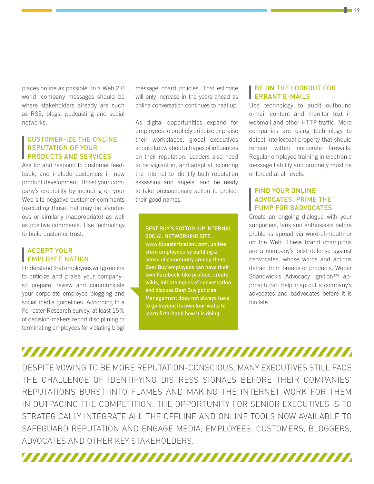places online as possible. In a Web 2.0 world, company messages should be where stakeholders already are such as RSS, blogs, podcasting and social networks.

#### Customer-ize the online reputation of your products and services

Ask for and respond to customer feedback, and include customers in new product development. Boost your company's credibility by including on your Web site negative customer comments (excluding those that may be slanderous or similarly inappropriate) as well as positive comments. Use technology to build customer trust.

#### **ACCEPT YOUR EMPLOYEE NATION**

Understand that employees will go online to criticize and praise your company– so prepare, review and communicate your corporate employee blogging and social media guidelines. According to a Forrester Research survey, at least 15% of decision-makers report disciplining or terminating employees for violating blog/

message board policies. That estimate will only increase in the years ahead as online conversation continues to heat up.

As digital opportunities expand for employees to publicly criticize or praise their workplaces, global executives should know about all types of influences on their reputation. Leaders also need to be vigilant in, and adept at, scouring the Internet to identify both reputation assassins and angels, and be ready to take precautionary action to protect their good names.

BEST BUY'S BOTTOM-UP INTERNAL SOCIAL NETWORKING SITE, [www.blueshirtnation.com,](http://www.blueshirtnation.com) unifies store employees by building a sense of community among them. Best Buy employees can have their own Facebook-like profiles, create wikis, initiate topics of conversation and discuss Best Buy policies. Management does not always have to go beyond its own four walls to

#### Be on the lookout for errant e-mails

Use technology to audit outbound e-mail content and monitor text in webmail and other HTTP traffic. More companies are using technology to detect intellectual property that should remain within corporate firewalls. Regular employee training in electronic message liability and propriety must be enforced at all levels.

#### Find your online advocates. Prime the pump for badvocates

Create an ongoing dialogue with your supporters, fans and enthusiasts before problems spread via word-of-mouth or on the Web. These brand champions are a company's best defense against badvocates, whose words and actions detract from brands or products. Weber Shandwick's Advocacy Ignition<sup>™</sup> approach can help map out a company's advocates and badvocates before it is too late.

# 

learn first-hand how it is doing.

DESPITE VOWING TO BE MORE REPUTATION-CONSCIOUS, MANY EXECUTIVES STILL FACE THE CHALLENGE OF IDENTIFYING DISTRESS SIGNALS BEFORE THEIR COMPANIES' REPUTATIONS BURST INTO FLAMES AND MAKING THE INTERNET WORK FOR THEM IN OUTPACING THE COMPETITION. THE OPPORTUNITY FOR SENIOR EXECUTIVES IS TO STRATEGICALLY INTEGRATE ALL THE OFFLINE AND ONLINE TOOLS NOW AVAILABLE TO SAFEGUARD REPUTATION AND ENGAGE MEDIA, EMPLOYEES, CUSTOMERS, BLOGGERS, ADVOCATES AND OTHER KEY STAKEHOLDERS.

<u>TAANA AHAAN AHAAN AHAAN AHAAN AHAAN AHAAN IN INI MID IN INI MID INI MID INI MID INI MID INI MID INI MID INI M</u>